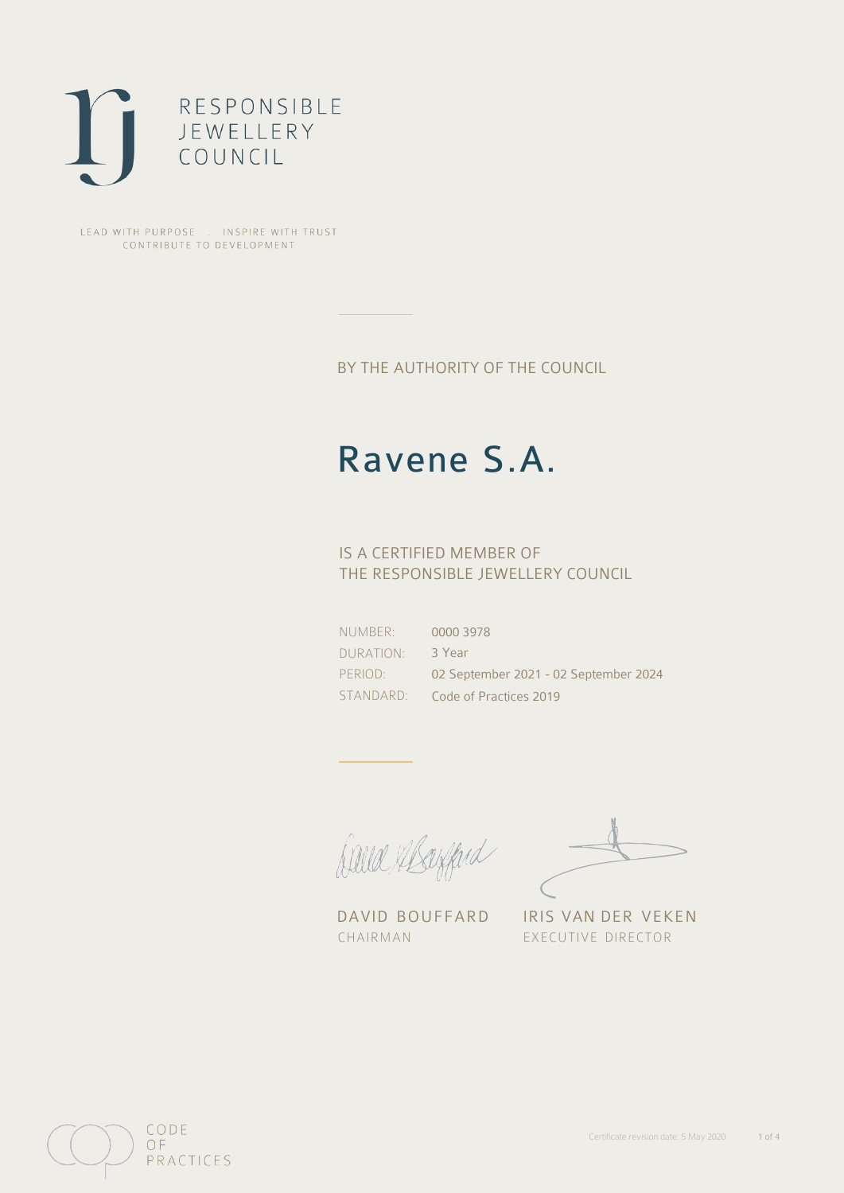

LEAD WITH PURPOSE . INSPIRE WITH TRUST CONTRIBUTE TO DEVELOPMENT

BY THE AUTHORITY OF THE COUNCIL

# Ravene S.A.

## IS A CERTIFIED MEMBER OF THE RESPONSIBLE JEWELLERY COUNCIL

NUMBER: DURATION: PERIOD: STANDARD: 0000 3978 3 Year 02 September 2021 - 02 September 2024 Code of Practices 2019

Caux Margaret

DAVID BOUFFARD IRIS VAN DER VEKEN CHAIRMAN EXECUTIVE DIRECTOR

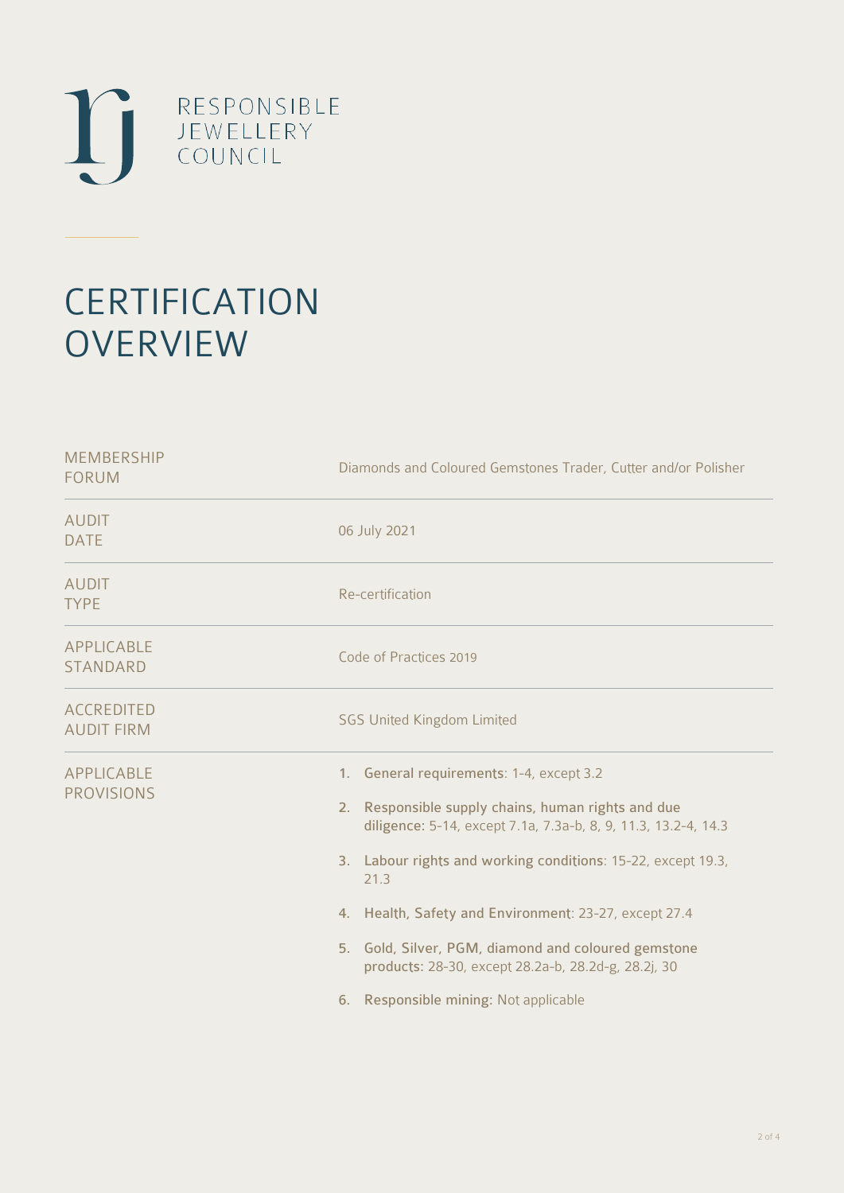

# **CERTIFICATION OVERVIEW**

| Diamonds and Coloured Gemstones Trader, Cutter and/or Polisher                                                                                                                                                                                                                                                                                                                                                                                              |
|-------------------------------------------------------------------------------------------------------------------------------------------------------------------------------------------------------------------------------------------------------------------------------------------------------------------------------------------------------------------------------------------------------------------------------------------------------------|
| 06 July 2021                                                                                                                                                                                                                                                                                                                                                                                                                                                |
| Re-certification                                                                                                                                                                                                                                                                                                                                                                                                                                            |
| Code of Practices 2019                                                                                                                                                                                                                                                                                                                                                                                                                                      |
| <b>SGS United Kingdom Limited</b>                                                                                                                                                                                                                                                                                                                                                                                                                           |
| 1. General requirements: 1-4, except 3.2<br>Responsible supply chains, human rights and due<br>2.<br>diligence: 5-14, except 7.1a, 7.3a-b, 8, 9, 11.3, 13.2-4, 14.3<br>3. Labour rights and working conditions: 15-22, except 19.3,<br>21.3<br>4. Health, Safety and Environment: 23-27, except 27.4<br>5. Gold, Silver, PGM, diamond and coloured gemstone<br>products: 28-30, except 28.2a-b, 28.2d-g, 28.2j, 30<br>6. Responsible mining: Not applicable |
|                                                                                                                                                                                                                                                                                                                                                                                                                                                             |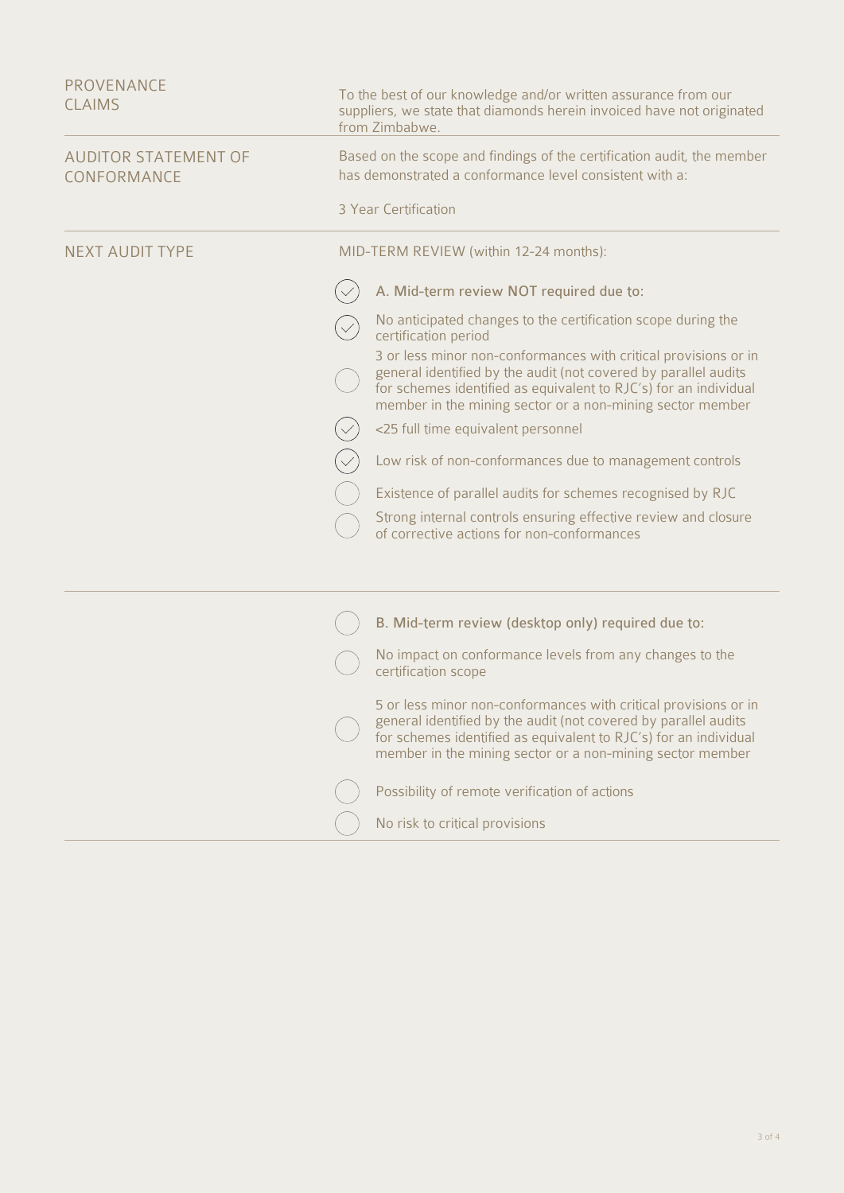| Based on the scope and findings of the certification audit, the member<br>has demonstrated a conformance level consistent with a:<br>3 Year Certification<br>MID-TERM REVIEW (within 12-24 months):<br>A. Mid-term review NOT required due to:<br>No anticipated changes to the certification scope during the<br>certification period<br>3 or less minor non-conformances with critical provisions or in<br>general identified by the audit (not covered by parallel audits<br>for schemes identified as equivalent to RJC's) for an individual<br>member in the mining sector or a non-mining sector member<br><25 full time equivalent personnel<br>Low risk of non-conformances due to management controls<br>Existence of parallel audits for schemes recognised by RJC<br>Strong internal controls ensuring effective review and closure<br>of corrective actions for non-conformances<br>B. Mid-term review (desktop only) required due to:<br>No impact on conformance levels from any changes to the<br>certification scope<br>5 or less minor non-conformances with critical provisions or in<br>general identified by the audit (not covered by parallel audits<br>for schemes identified as equivalent to RJC's) for an individual<br>member in the mining sector or a non-mining sector member<br>Possibility of remote verification of actions<br>No risk to critical provisions | <b>PROVENANCE</b><br><b>CLAIMS</b>         | To the best of our knowledge and/or written assurance from our<br>suppliers, we state that diamonds herein invoiced have not originated<br>from Zimbabwe. |
|------------------------------------------------------------------------------------------------------------------------------------------------------------------------------------------------------------------------------------------------------------------------------------------------------------------------------------------------------------------------------------------------------------------------------------------------------------------------------------------------------------------------------------------------------------------------------------------------------------------------------------------------------------------------------------------------------------------------------------------------------------------------------------------------------------------------------------------------------------------------------------------------------------------------------------------------------------------------------------------------------------------------------------------------------------------------------------------------------------------------------------------------------------------------------------------------------------------------------------------------------------------------------------------------------------------------------------------------------------------------------------------------|--------------------------------------------|-----------------------------------------------------------------------------------------------------------------------------------------------------------|
|                                                                                                                                                                                                                                                                                                                                                                                                                                                                                                                                                                                                                                                                                                                                                                                                                                                                                                                                                                                                                                                                                                                                                                                                                                                                                                                                                                                                | <b>AUDITOR STATEMENT OF</b><br>CONFORMANCE |                                                                                                                                                           |
|                                                                                                                                                                                                                                                                                                                                                                                                                                                                                                                                                                                                                                                                                                                                                                                                                                                                                                                                                                                                                                                                                                                                                                                                                                                                                                                                                                                                |                                            |                                                                                                                                                           |
|                                                                                                                                                                                                                                                                                                                                                                                                                                                                                                                                                                                                                                                                                                                                                                                                                                                                                                                                                                                                                                                                                                                                                                                                                                                                                                                                                                                                | <b>NEXT AUDIT TYPE</b>                     |                                                                                                                                                           |
|                                                                                                                                                                                                                                                                                                                                                                                                                                                                                                                                                                                                                                                                                                                                                                                                                                                                                                                                                                                                                                                                                                                                                                                                                                                                                                                                                                                                |                                            |                                                                                                                                                           |
|                                                                                                                                                                                                                                                                                                                                                                                                                                                                                                                                                                                                                                                                                                                                                                                                                                                                                                                                                                                                                                                                                                                                                                                                                                                                                                                                                                                                |                                            |                                                                                                                                                           |
|                                                                                                                                                                                                                                                                                                                                                                                                                                                                                                                                                                                                                                                                                                                                                                                                                                                                                                                                                                                                                                                                                                                                                                                                                                                                                                                                                                                                |                                            |                                                                                                                                                           |
|                                                                                                                                                                                                                                                                                                                                                                                                                                                                                                                                                                                                                                                                                                                                                                                                                                                                                                                                                                                                                                                                                                                                                                                                                                                                                                                                                                                                |                                            |                                                                                                                                                           |
|                                                                                                                                                                                                                                                                                                                                                                                                                                                                                                                                                                                                                                                                                                                                                                                                                                                                                                                                                                                                                                                                                                                                                                                                                                                                                                                                                                                                |                                            |                                                                                                                                                           |
|                                                                                                                                                                                                                                                                                                                                                                                                                                                                                                                                                                                                                                                                                                                                                                                                                                                                                                                                                                                                                                                                                                                                                                                                                                                                                                                                                                                                |                                            |                                                                                                                                                           |
|                                                                                                                                                                                                                                                                                                                                                                                                                                                                                                                                                                                                                                                                                                                                                                                                                                                                                                                                                                                                                                                                                                                                                                                                                                                                                                                                                                                                |                                            |                                                                                                                                                           |
|                                                                                                                                                                                                                                                                                                                                                                                                                                                                                                                                                                                                                                                                                                                                                                                                                                                                                                                                                                                                                                                                                                                                                                                                                                                                                                                                                                                                |                                            |                                                                                                                                                           |
|                                                                                                                                                                                                                                                                                                                                                                                                                                                                                                                                                                                                                                                                                                                                                                                                                                                                                                                                                                                                                                                                                                                                                                                                                                                                                                                                                                                                |                                            |                                                                                                                                                           |
|                                                                                                                                                                                                                                                                                                                                                                                                                                                                                                                                                                                                                                                                                                                                                                                                                                                                                                                                                                                                                                                                                                                                                                                                                                                                                                                                                                                                |                                            |                                                                                                                                                           |
|                                                                                                                                                                                                                                                                                                                                                                                                                                                                                                                                                                                                                                                                                                                                                                                                                                                                                                                                                                                                                                                                                                                                                                                                                                                                                                                                                                                                |                                            |                                                                                                                                                           |
|                                                                                                                                                                                                                                                                                                                                                                                                                                                                                                                                                                                                                                                                                                                                                                                                                                                                                                                                                                                                                                                                                                                                                                                                                                                                                                                                                                                                |                                            |                                                                                                                                                           |
|                                                                                                                                                                                                                                                                                                                                                                                                                                                                                                                                                                                                                                                                                                                                                                                                                                                                                                                                                                                                                                                                                                                                                                                                                                                                                                                                                                                                |                                            |                                                                                                                                                           |